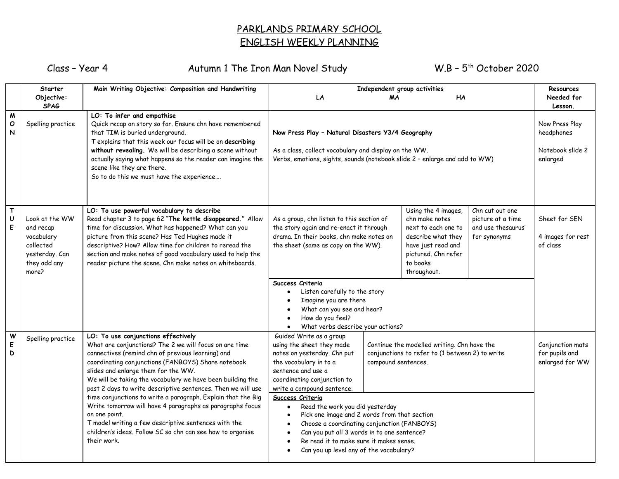## PARKLANDS PRIMARY SCHOOL ENGLISH WEEKLY PLANNING

Class - Year 4 Autumn 1 The Iron Man Novel Study

 $W.B - 5<sup>th</sup> October 2020$ 

|                                         | <b>Starter</b>                                                                                    | Main Writing Objective: Composition and Handwriting                                                                                                                                                                                                                                                                                                                                                                                                                                                                                                                                                                                                              | Independent group activities                                                                                                                                                                                                                                                                                                                                                                                                                                                                                                                                                                                         |           |                                                                                                                                                            | <b>Resources</b>                                                           |                                                |
|-----------------------------------------|---------------------------------------------------------------------------------------------------|------------------------------------------------------------------------------------------------------------------------------------------------------------------------------------------------------------------------------------------------------------------------------------------------------------------------------------------------------------------------------------------------------------------------------------------------------------------------------------------------------------------------------------------------------------------------------------------------------------------------------------------------------------------|----------------------------------------------------------------------------------------------------------------------------------------------------------------------------------------------------------------------------------------------------------------------------------------------------------------------------------------------------------------------------------------------------------------------------------------------------------------------------------------------------------------------------------------------------------------------------------------------------------------------|-----------|------------------------------------------------------------------------------------------------------------------------------------------------------------|----------------------------------------------------------------------------|------------------------------------------------|
|                                         | Objective:                                                                                        |                                                                                                                                                                                                                                                                                                                                                                                                                                                                                                                                                                                                                                                                  | LA                                                                                                                                                                                                                                                                                                                                                                                                                                                                                                                                                                                                                   | <b>MA</b> | <b>HA</b>                                                                                                                                                  |                                                                            | Needed for                                     |
|                                         | <b>SPAG</b>                                                                                       |                                                                                                                                                                                                                                                                                                                                                                                                                                                                                                                                                                                                                                                                  |                                                                                                                                                                                                                                                                                                                                                                                                                                                                                                                                                                                                                      |           |                                                                                                                                                            |                                                                            | Lesson.                                        |
| M<br>$\pmb{\mathsf{O}}$<br>$\mathsf{N}$ | Spelling practice                                                                                 | LO: To infer and empathise<br>Quick recap on story so far. Ensure chn have remembered<br>that TIM is buried underground.<br>T explains that this week our focus will be on describing<br>without revealing. We will be describing a scene without<br>actually saying what happens so the reader can imagine the<br>scene like they are there.<br>So to do this we must have the experience                                                                                                                                                                                                                                                                       | Now Press Play - Natural Disasters Y3/4 Geography<br>As a class, collect vocabulary and display on the WW.<br>Verbs, emotions, sights, sounds (notebook slide 2 - enlarge and add to WW)                                                                                                                                                                                                                                                                                                                                                                                                                             |           |                                                                                                                                                            | Now Press Play<br>headphones<br>Notebook slide 2<br>enlarged               |                                                |
| T<br>U<br>E                             | Look at the WW<br>and recap<br>vocabulary<br>collected<br>yesterday. Can<br>they add any<br>more? | LO: To use powerful vocabulary to describe<br>Read chapter 3 to page 62 "The kettle disappeared." Allow<br>time for discussion. What has happened? What can you<br>picture from this scene? Has Ted Hughes made it<br>descriptive? How? Allow time for children to reread the<br>section and make notes of good vocabulary used to help the<br>reader picture the scene. Chn make notes on whiteboards.                                                                                                                                                                                                                                                          | As a group, chn listen to this section of<br>the story again and re-enact it through<br>drama. In their books, chn make notes on<br>the sheet (same as copy on the WW).<br>Success Criteria<br>Listen carefully to the story<br>Imagine you are there<br>What can you see and hear?<br>How do you feel?<br>What verbs describe your actions?                                                                                                                                                                                                                                                                         |           | Using the 4 images,<br>chn make notes<br>next to each one to<br>describe what they<br>have just read and<br>pictured. Chn refer<br>to books<br>throughout. | Chn cut out one<br>picture at a time<br>and use thesaurus'<br>for synonyms | Sheet for SEN<br>4 images for rest<br>of class |
| W<br>E<br>D                             | Spelling practice                                                                                 | LO: To use conjunctions effectively<br>What are conjunctions? The 2 we will focus on are time<br>connectives (remind chn of previous learning) and<br>coordinating conjunctions (FANBOYS) Share notebook<br>slides and enlarge them for the WW.<br>We will be taking the vocabulary we have been building the<br>past 2 days to write descriptive sentences. Then we will use<br>time conjunctions to write a paragraph. Explain that the Big<br>Write tomorrow will have 4 paragraphs as paragraphs focus<br>on one point.<br>T model writing a few descriptive sentences with the<br>children's ideas. Follow SC so chn can see how to organise<br>their work. | Guided Write as a group<br>using the sheet they made<br>Continue the modelled writing. Chn have the<br>notes on yesterday. Chn put<br>conjunctions to refer to (1 between 2) to write<br>the vocabulary in to a<br>compound sentences.<br>sentence and use a<br>coordinating conjunction to<br>write a compound sentence.<br>Success Criteria<br>Read the work you did yesterday<br>Pick one image and 2 words from that section<br>Choose a coordinating conjunction (FANBOYS)<br>Can you put all 3 words in to one sentence?<br>Re read it to make sure it makes sense.<br>Can you up level any of the vocabulary? |           | Conjunction mats<br>for pupils and<br>enlarged for WW                                                                                                      |                                                                            |                                                |